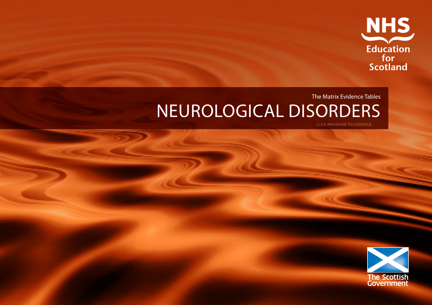

# The Matrix Evidence Tables NEUROLOGICAL DISORDERS

CLICK ANYWHERE TO CONTINUE

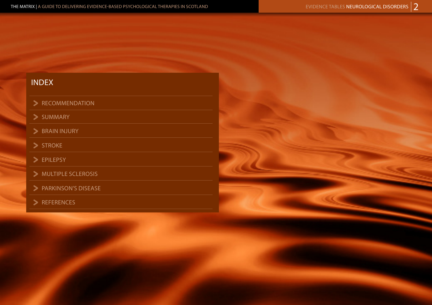## INDEX

### > RECOMMENDATION

 $>$  SUMMARY

 $\triangleright$  BRAIN INJURY

> STROKE

> EPILEPSY

- MULTIPLE SCLEROSIS
- > PARKINSON'S DISEASE<br>
> REFERENCES
- 

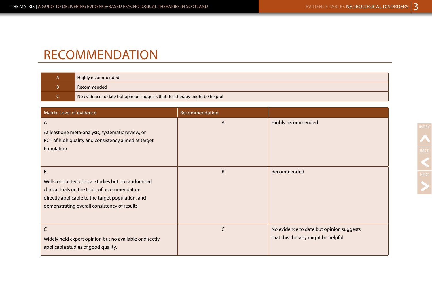## RECOMMENDATION

| Highly recommended                                                          |
|-----------------------------------------------------------------------------|
| Recommended                                                                 |
| No evidence to date but opinion suggests that this therapy might be helpful |

| Matrix: Level of evidence                               | Recommendation |                                          |
|---------------------------------------------------------|----------------|------------------------------------------|
| A                                                       | A              | Highly recommended                       |
| At least one meta-analysis, systematic review, or       |                |                                          |
| RCT of high quality and consistency aimed at target     |                |                                          |
| Population                                              |                |                                          |
|                                                         |                |                                          |
| <sub>B</sub>                                            | B              | Recommended                              |
| Well-conducted clinical studies but no randomised       |                |                                          |
| clinical trials on the topic of recommendation          |                |                                          |
| directly applicable to the target population, and       |                |                                          |
| demonstrating overall consistency of results            |                |                                          |
|                                                         |                |                                          |
| C                                                       | C              | No evidence to date but opinion suggests |
| Widely held expert opinion but no available or directly |                | that this therapy might be helpful       |
| applicable studies of good quality.                     |                |                                          |
|                                                         |                |                                          |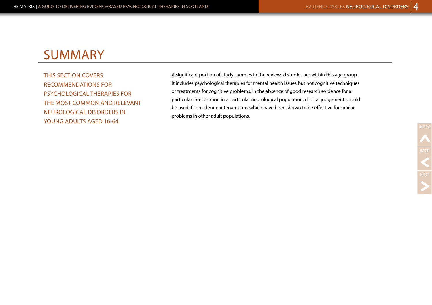# SUMMARY

THIS SECTION COVERS RECOMMENDATIONS FOR PSYCHOLOGICAL THERAPIES FOR THE MOST COMMON AND RELEVANT NEUROLOGICAL DISORDERS IN YOUNG ADULTS AGED 16-64.

A significant portion of study samples in the reviewed studies are within this age group. It includes psychological therapies for mental health issues but not cognitive techniques or treatments for cognitive problems. In the absence of good research evidence for a particular intervention in a particular neurological population, clinical judgement should be used if considering interventions which have been shown to be effective for similar problems in other adult populations.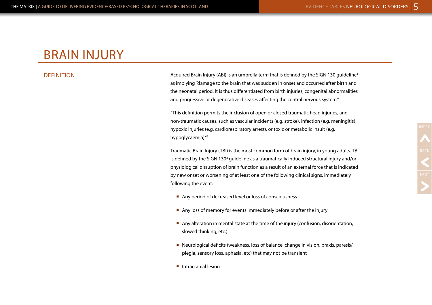## BRAIN INJURY

### **DEFINITION**

Acquired Brain Injury (ABI) is an umbrella term that is defined by the SIGN 130 guideline1 as implying ''damage to the brain that was sudden in onset and occurred after birth and the neonatal period. It is thus differentiated from birth injuries, congenital abnormalities and progressive or degenerative diseases affecting the central nervous system."

"This definition permits the inclusion of open or closed traumatic head injuries, and non-traumatic causes, such as vascular incidents (e.g. stroke), infection (e.g. meningitis), hypoxic injuries (e.g. cardiorespiratory arrest), or toxic or metabolic insult (e.g. hypoglycaemia)."<sup>1</sup>

Traumatic Brain Injury (TBI) is the most common form of brain injury, in young adults. TBI is defined by the SIGN 130<sup>4</sup> guideline as a traumatically induced structural injury and/or physiological disruption of brain function as a result of an external force that is indicated by new onset or worsening of at least one of the following clinical signs, immediately following the event:

- Any period of decreased level or loss of consciousness
- Any loss of memory for events immediately before or after the injury
- ¡ Any alteration in mental state at the time of the injury (confusion, disorientation, slowed thinking, etc.)
- Neurological deficits (weakness, loss of balance, change in vision, praxis, paresis/ plegia, sensory loss, aphasia, etc) that may not be transient
- Intracranial lesion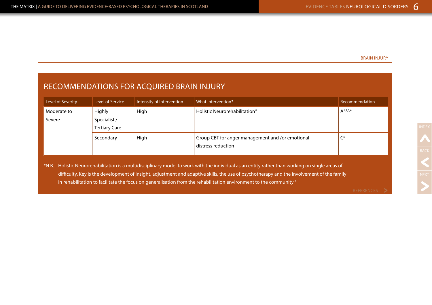### BRAIN INJURY

## RECOMMENDATIONS FOR ACQUIRED BRAIN INJURY

| Level of Severity     | Level of Service                               | Intensity of Intervention | What Intervention?                                                                                                                                                                                                                                                                                                                                                                                                             | Recommendation |
|-----------------------|------------------------------------------------|---------------------------|--------------------------------------------------------------------------------------------------------------------------------------------------------------------------------------------------------------------------------------------------------------------------------------------------------------------------------------------------------------------------------------------------------------------------------|----------------|
| Moderate to<br>Severe | Highly<br>Specialist /<br><b>Tertiary Care</b> | High                      | Holistic Neurorehabilitation*                                                                                                                                                                                                                                                                                                                                                                                                  | $A^{1,2,3,4}$  |
|                       | Secondary                                      | High                      | Group CBT for anger management and /or emotional<br>distress reduction                                                                                                                                                                                                                                                                                                                                                         | $\mathsf{C}^5$ |
|                       |                                                |                           | *N.B. Holistic Neurorehabilitation is a multidisciplinary model to work with the individual as an entity rather than working on single areas of<br>difficulty. Key is the development of insight, adjustment and adaptive skills, the use of psychotherapy and the involvement of the family<br>in rehabilitation to facilitate the focus on generalisation from the rehabilitation environment to the community. <sup>3</sup> |                |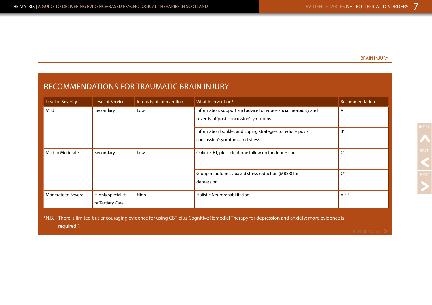### BRAIN INJURY

## RECOMMENDATIONS FOR TRAUMATIC BRAIN INJURY

| Level of Severity  | Level of Service                                                                                                                           | Intensity of Intervention | What Intervention?                                             | Recommendation |  |
|--------------------|--------------------------------------------------------------------------------------------------------------------------------------------|---------------------------|----------------------------------------------------------------|----------------|--|
| Mild               | Secondary                                                                                                                                  | Low                       | Information, support and advice to reduce social morbidity and | $A^7$          |  |
|                    |                                                                                                                                            |                           | severity of 'post-concussion' symptoms                         |                |  |
|                    |                                                                                                                                            |                           | Information booklet and coping strategies to reduce 'post-     | B <sup>6</sup> |  |
|                    |                                                                                                                                            |                           | concussion' symptoms and stress                                |                |  |
| Mild to Moderate   | Secondary                                                                                                                                  | Low                       | Online CBT, plus telephone follow up for depression            | C <sup>8</sup> |  |
|                    |                                                                                                                                            |                           | Group mindfulness-based stress reduction (MBSR) for            | C <sup>9</sup> |  |
|                    |                                                                                                                                            |                           | depression                                                     |                |  |
| Moderate to Severe | Highly specialist                                                                                                                          | High                      | <b>Holistic Neurorehabilitation</b>                            | $A^{1,3,4}$    |  |
|                    | or Tertiary Care                                                                                                                           |                           |                                                                |                |  |
|                    | *N.B. There is limited but encouraging evidence for using CBT plus Cognitive Remedial Therapy for depression and anxiety; more evidence is |                           |                                                                |                |  |

required<sup>10</sup>.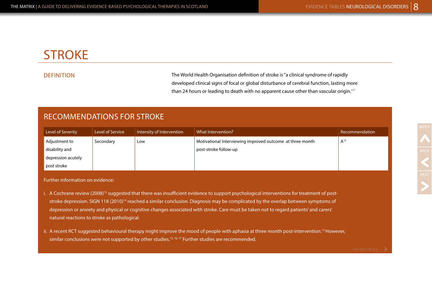# **STROKE**

DEFINITION The World Health Organisation definition of stroke is "a clinical syndrome of rapidly developed clinical signs of focal or global disturbance of cerebral function, lasting more than 24 hours or leading to death with no apparent cause other than vascular origin.<sup>11"</sup>

## RECOMMENDATIONS FOR STROKE

| Level of Severity  | Level of Service | Intensity of Intervention | What Intervention?                                        | Recommendation  |
|--------------------|------------------|---------------------------|-----------------------------------------------------------|-----------------|
| Adjustment to      | Secondary        | Low                       | Motivational Interviewing improved outcome at three month | A <sup>12</sup> |
| disability and     |                  |                           | post-stroke follow-up                                     |                 |
| depression acutely |                  |                           |                                                           |                 |
| post stroke        |                  |                           |                                                           |                 |

Further information on evidence:

- i. A Cochrane review (2008)<sup>13</sup> suggested that there was insufficient evidence to support psychological interventions for treatment of poststroke depression. SIGN 118 (2010)<sup>14</sup> reached a similar conclusion. Diagnosis may be complicated by the overlap between symptoms of depression or anxiety and physical or cognitive changes associated with stroke. Care must be taken not to regard patients' and carers' natural reactions to stroke as pathological.
- ii. A recent RCT suggested behavioural therapy might improve the mood of people with aphasia at three month post-intervention.<sup>15</sup> However, similar conclusions were not supported by other studies.<sup>15, 16, 17</sup> Further studies are recommended.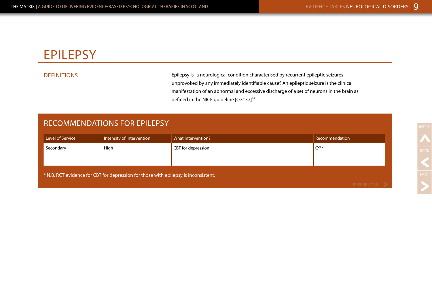# EPILEPSY

DEFINITIONS Epilepsy is ''a neurological condition characterised by recurrent epileptic seizures unprovoked by any immediately identifiable cause''. An epileptic seizure is the clinical manifestation of an abnormal and excessive discharge of a set of neurons in the brain as defined in the NICE guideline [CG137]<sup>19</sup>

## RECOMMENDATIONS FOR EPILEPSY

| Intensity of Intervention | What Intervention? | Recommendation                                                                      |
|---------------------------|--------------------|-------------------------------------------------------------------------------------|
| High                      | CBT for depression | $C^{20, 21}$                                                                        |
|                           |                    |                                                                                     |
|                           |                    | DEEEDEMCEC.                                                                         |
|                           |                    | * N.B. RCT evidence for CBT for depression for those with epilepsy is inconsistent. |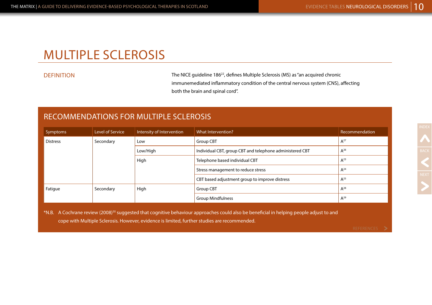## MULTIPLE SCLEROSIS

DEFINITION The NICE guideline 186<sup>22</sup>, defines Multiple Sclerosis (MS) as "an acquired chronic immunemediated inflammatory condition of the central nervous system (CNS), affecting both the brain and spinal cord''.

## RECOMMENDATIONS FOR MULTIPLE SCLEROSIS

| Symptoms        | Level of Service | Intensity of Intervention | What Intervention?                                       | Recommendation |
|-----------------|------------------|---------------------------|----------------------------------------------------------|----------------|
| <b>Distress</b> | Secondary        | Low                       | Group CBT                                                | $A^{27}$       |
|                 |                  | Low/High                  | Individual CBT, group CBT and telephone administered CBT | $A^{26}$       |
|                 |                  | High                      | Telephone based individual CBT                           | $A^{23}$       |
|                 |                  |                           | Stress management to reduce stress                       | $A^{24}$       |
|                 |                  |                           | CBT based adjustment group to improve distress           | $A^{25}$       |
| Fatigue         | Secondary        | High                      | Group CBT                                                | $A^{28}$       |
|                 |                  |                           | <b>Group Mindfulness</b>                                 | $A^{29}$       |

\*N.B. A Cochrane review (2008)30 suggested that cognitive behaviour approaches could also be beneficial in helping people adjust to and cope with Multiple Sclerosis. However, evidence is limited, further studies are recommended.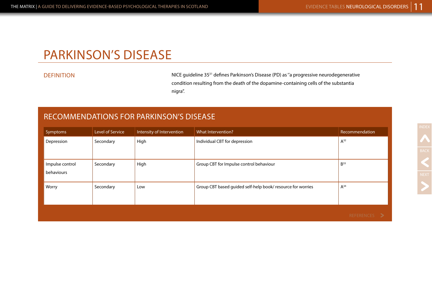# PARKINSON'S DISEASE

DEFINITION NICE guideline 3531 defines Parkinson's Disease (PD) as ''a progressive neurodegenerative condition resulting from the death of the dopamine-containing cells of the substantia nigra''.

### RECOMMENDATIONS FOR PARKINSON'S DISEASE

| Symptoms        | Level of Service | Intensity of Intervention | What Intervention?                                         | Recommendation  |
|-----------------|------------------|---------------------------|------------------------------------------------------------|-----------------|
| Depression      | Secondary        | High                      | Individual CBT for depression                              | $A^{32}$        |
|                 |                  |                           |                                                            |                 |
| Impulse control | Secondary        | High                      | Group CBT for Impulse control behaviour                    | B <sup>33</sup> |
| behaviours      |                  |                           |                                                            |                 |
| Worry           | Secondary        | Low                       | Group CBT based guided self-help book/resource for worries | $A^{34}$        |
|                 |                  |                           |                                                            |                 |
|                 |                  |                           |                                                            | REFERENCES >    |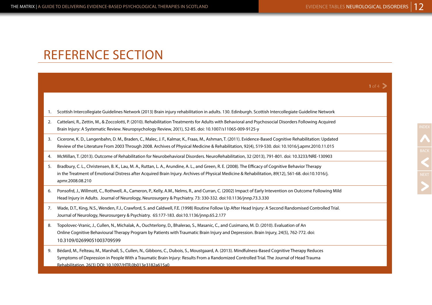$1 of 4$   $\sum$ 

# REFERENCE SECTION

| 1. Scottish Intercollegiate Guidelines Network (2013) Brain injury rehabilitation in adults. 130. Edinburgh. Scottish Intercollegiate Guideline Network |  |  |
|---------------------------------------------------------------------------------------------------------------------------------------------------------|--|--|
|                                                                                                                                                         |  |  |

- 2. Cattelani, R., Zettin, M., & Zoccolotti, P. (2010). Rehabilitation Treatments for Adults with Behavioral and Psychosocial Disorders Following Acquired Brain Injury: A Systematic Review. Neuropsychology Review, 20(1), 52-85. doi: 10.1007/s11065-009-9125-y
- 3. Cicerone, K. D., Langenbahn, D. M., Braden, C., Malec, J. F., Kalmar, K., Fraas, M., Ashman, T. (2011). Evidence-Based Cognitive Rehabilitation: Updated Review of the Literature From 2003 Through 2008. Archives of Physical Medicine & Rehabilitation, 92(4), 519-530. doi: 10.1016/j.apmr.2010.11.015
- 4. McMillan, T. (2013). Outcome of Rehabilitation for Neurobehavioral Disorders. NeuroRehabilitation, 32 (2013), 791-801. doi: 10.3233/NRE-130903
- 5. Bradbury, C. L., Christensen, B. K., Lau, M. A., Ruttan, L. A., Arundine, A. L., and Green, R. E. (2008). The Efficacy of Cognitive Behavior Therapy in the Treatment of Emotional Distress after Acquired Brain Injury. Archives of Physical Medicine & Rehabilitation, 89(12), S61-68. [doi:10.1016/j.](http://dx.doi.org/10.1016/j.apmr.2008.08.210) [apmr.2008.08.210](http://dx.doi.org/10.1016/j.apmr.2008.08.210)
- 6. Ponsofrd, J., Willmott, C., Rothwell, A., Cameron, P., Kelly, A.M., Nelms, R., and Curran, C. (2002) Impact of Early Intevention on Outcome Following Mild Head Injury in Adults. Journal of Neurology, Neurosurgery & Psychiatry. 73: 330-332. doi:10.1136/jnnp.73.3.330
- 7. Wade, D.T., King, N.S., Wenden, F.J., Crawford, S. and Caldwell, F.E. (1998) Routine Follow Up After Head Injury: A Second Randomised Controlled Trial. Journal of Neurology, Neurosurgery & Psychiatry. 65:177-183. doi:10.1136/jnnp.65.2.177
- 8. Topolovec-Vranic, J., Cullen, N., Michalak, A., Ouchterlony, D., Bhalerao, S., Masanic, C., and Cusimano, M. D. (2010). Evaluation of An Online Cognitive Behavioural Therapy Program by Patients with Traumatic Brain Injury and Depression. Brain Injury, 24(5), 762-772. doi: 10.3109/02699051003709599
- 9. Bédard, M., Felteau, M., Marshall, S., Cullen, N., Gibbons, C., Dubois, S., Moustgaard, A. (2013). Mindfulness-Based Cognitive Therapy Reduces Symptoms of Depression in People With a Traumatic Brain Injury: Results From a Randomized Controlled Trial. The Journal of Head Trauma Rehabilitation. 26(3) DOI: 10.1097/HTR.0b013e3182a615a0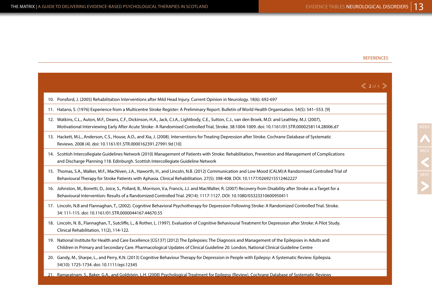### REFERENCES

|                                                                                                                                                                                                                                                                                                               | $\langle$ 2 of 4 $\rangle$ |
|---------------------------------------------------------------------------------------------------------------------------------------------------------------------------------------------------------------------------------------------------------------------------------------------------------------|----------------------------|
| 10. Ponsford, J. (2005) Rehabilitation Interventions after Mild Head Injury. Current Opinion in Neurology. 18(6): 692-697                                                                                                                                                                                     |                            |
| 11. Hatano, S. (1976) Experience from a Multicentre Stroke Register: A Preliminary Report. Bulletin of World Health Organisation. 54(5): 541-553. [9]                                                                                                                                                         |                            |
| 12. Watkins, C.L., Auton, M.F., Deans, C.F., Dickinson, H.A., Jack, C.I.A., Lightbody, C.E., Sutton, C.J., van den Broek, M.D. and Leathley, M.J. (2007),<br>Motivational Interviewing Early After Acute Stroke- A Randomised Controlled Trial, Stroke. 38:1004-1009. doi: 10.1161/01.STR.0000258114.28006.d7 |                            |
| 13. Hackett, M.L., Anderson, C.S., House, A.O., and Xia, J. (2008). Interventions for Treating Depression after Stroke. Cochrane Database of Systematic<br>Reviews. 2008 (4). doi: 10.1161/01.STR.0000162391.27991.9d [10]                                                                                    |                            |
| 14. Scottish Intercollegiate Guidelines Network (2010) Management of Patients with Stroke: Rehabilitation, Prevention and Management of Complications<br>and Discharge Planning 118. Edinburgh. Scottish Intercollegiate Guideline Network                                                                    |                            |
| 15. Thomas, S.A., Walker, M.F., MacNiven, J.A., Haworth, H., and Lincoln, N.B. (2012) Communication and Low Mood (CALM):A Randomised Controlled Trial of<br>Behavioural Therapy for Stroke Patients with Aphasia. Clinical Rehabilitation. 27(5): 398-408. DOI: 10.1177/0269215512462227                      |                            |
| 16. Johnston, M., Bonetti, D., Joice, S., Pollard, B., Morrison, V.a, Francis, J.J. and MacWalter, R. (2007) Recovery from Disability after Stroke as a Target for a<br>Behavioural Intervention: Results of a Randomized Controlled Trial. 29(14): 1117-1127. DOI: 10.1080/03323310600950411                 |                            |
| 17. Lincoln, N.B and Flannaghan, T., (2002). Cognitive Behavioral Psychotherapy for Depression Following Stroke: A Randomized Controlled Trial. Stroke.<br>34: 111-115. doi: 10.1161/01.STR.0000044167.44670.55                                                                                               |                            |
| 18. Lincoln, N. B., Flannaghan, T., Sutcliffe, L., & Rother, L. (1997). Evaluation of Cognitive Behavioural Treatment for Depression after Stroke: A Pilot Study.<br>Clinical Rehabilitation, 11(2), 114-122.                                                                                                 |                            |
| 19. National Institute for Health and Care Excellence [CG137] (2012) The Epilepsies: The Diagnosis and Management of the Epilepsies in Adults and<br>Children in Primary and Secondary Care. Pharmacological Updates of Clinical Guideline 20. London, National Clinical Guideline Centre                     |                            |
| 20. Gandy, M., Sharpe, L., and Perry, K.N. (2013) Cognitive Behaviour Therapy for Depression in People with Epilepsy: A Systematic Review. Epilepsia.<br>54(10): 1725-1734. doi: 10.1111/epi.12345                                                                                                            |                            |
| 21. Ramaratnam, S., Baker, G.A., and Goldstein, L.H. (2008) Psychological Treatment for Epilepsy (Review), Cochrane Database of Systematic Reviews                                                                                                                                                            |                            |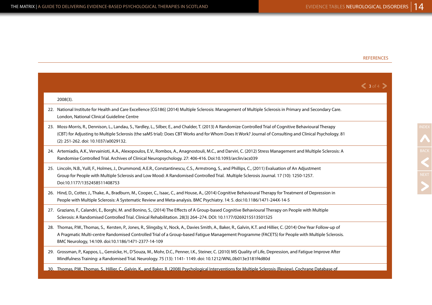### REFERENCES

NEXT

|     |                                                                                                                                                                                                                                                                                                                                                                                | $\langle$ 3 of 4 $\rangle$ |
|-----|--------------------------------------------------------------------------------------------------------------------------------------------------------------------------------------------------------------------------------------------------------------------------------------------------------------------------------------------------------------------------------|----------------------------|
|     | $2008(3)$ .                                                                                                                                                                                                                                                                                                                                                                    |                            |
| 22. | National Institute for Health and Care Excellence [CG186] (2014) Multiple Sclerosis: Management of Multiple Sclerosis in Primary and Secondary Care.<br>London, National Clinical Guideline Centre                                                                                                                                                                             |                            |
|     | 23. Moss-Morris, R., Dennison, L., Landau, S., Yardley, L., Silber, E., and Chalder, T. (2013) A Randomize Controlled Trial of Cognitive Behavioural Therapy<br>(CBT) for Adjusting to Multiple Sclerosis (the saMS trial): Does CBT Works and for Whom Does It Work? Journal of Consulting and Clinical Psychology. 81<br>(2): 251-262. doi: 10.1037/a0029132.                |                            |
|     | 24. Artemiadis, A.K., Vervainioti, A.A., Alexopoulos, E.V., Rombos, A., Anagnostouli, M.C., and Darviri, C. (2012) Stress Management and Multiple Sclerosis: A<br>Randomise Controlled Trial. Archives of Clinical Neuropsychology. 27: 406-416. Doi:10.1093/arclin/acs039                                                                                                     |                            |
|     | 25. Lincoln, N.B., Yuill, F., Holmes, J., Drummond, A.E.R., Constantinescu, C.S., Armstrong, S., and Phillips, C., (2011) Evaluation of An Adjustment<br>Group for People with Multiple Sclerosis and Low Mood: A Randomised Controlled Trial. Multiple Sclerosis Journal. 17 (10): 1250-1257.<br>Doi:10.1177/1352458511408753                                                 |                            |
|     | 26. Hind, D., Cotter, J., Thake, A., Bradburn, M., Cooper, C., Isaac, C., and House, A., (2014) Cognitive Behavioural Therapy for Treatment of Depression in<br>People with Multiple Sclerosis: A Systematic Review and Meta-analysis. BMC Psychiatry. 14: 5. doi:10.1186/1471-244X-14-5                                                                                       |                            |
|     | 27. Graziano, F., Calandri, E., Borghi, M. and Bonino, S., (2014) The Effects of A Group-based Cognitive Behavioural Therapy on People with Multiple<br>Sclerosis: A Randomised Controlled Trial. Clinical Rehabilitation. 28(3) 264-274. DOI: 10.1177/0269215513501525                                                                                                        |                            |
|     | 28. Thomas, P.W., Thomas, S., Kersten, P., Jones, R., Slingsby, V., Nock, A., Davies Smith, A., Baker, R., Galvin, K.T. and Hillier, C. (2014) One Year Follow-up of<br>A Pragmatic Multi-centre Randomised Controlled Trial of a Group-based Fatigue Management Programme (FACETS) for People with Multiple Sclerosis.<br>BMC Neurology, 14:109. doi:10.1186/1471-2377-14-109 |                            |
|     | 29. Grossman, P., Kappos, L., Gensicke, H., D'Souza, M., Mohr, D.C., Penner, I.K., Steiner, C. (2010) MS Quality of Life, Depression, and Fatigue Improve After<br>Mindfulness Training: a Randomised Trial. Neurology. 75 (13): 1141-1149. doi: 10.1212/WNL.0b013e3181f4d80d                                                                                                  |                            |
|     | 30. Thomas, P.W., Thomas, S., Hillier, C., Galvin, K., and Baker, R. (2008) Psychological Interventions for Multiple Sclerosis (Review), Cochrane Database of                                                                                                                                                                                                                  |                            |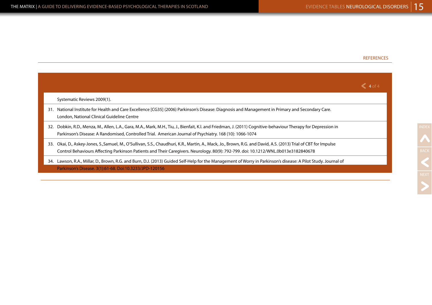### REFERENCES

|                                                                                                                                                                                                                                                                                                          | $\leq 4$ of 4 |
|----------------------------------------------------------------------------------------------------------------------------------------------------------------------------------------------------------------------------------------------------------------------------------------------------------|---------------|
| Systematic Reviews 2009(1).                                                                                                                                                                                                                                                                              |               |
| National Institute for Health and Care Excellence [CG35] (2006) Parkinson's Disease: Diagnosis and Management in Primary and Secondary Care.<br>31.<br>London, National Clinical Guideline Centre                                                                                                        |               |
| Dobkin, R.D., Menza, M., Allen, L.A., Gara, M.A., Mark, M.H., Tiu, J., Bienfait, K.I. and Friedman, J. (2011) Cognitive-behaviour Therapy for Depression in<br>32.<br>Parkinson's Disease: A Randomised, Controlled Trial. American Journal of Psychiatry. 168 (10): 1066-1074                           |               |
| Okai, D., Askey-Jones, S.,Samuel, M., O'Sullivan, S.S., Chaudhuri, K.R., Martin, A., Mack, Jo., Brown, R.G. and David, A.S. (2013) Trial of CBT for Impulse<br>33.<br>Control Behaviours Affecting Parkinson Patients and Their Caregivers. Neurology. 80(9): 792-799. doi: 10.1212/WNL.0b013e3182840678 |               |
| Lawson, R.A., Millar, D., Brown, R.G. and Burn, D.J. (2013) Guided Self-Help for the Management of Worry in Parkinson's disease: A Pilot Study. Journal of<br>34.<br>Parkinson's Disease. 3(1):61-68. Doi:10.3233/JPD-120156                                                                             |               |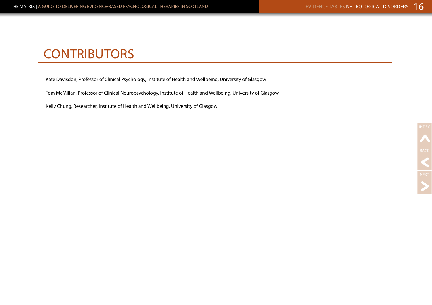# **CONTRIBUTORS**

Kate Davisdon, Professor of Clinical Psychology, Institute of Health and Wellbeing, University of Glasgow

Tom McMillan, Professor of Clinical Neuropsychology, Institute of Health and Wellbeing, University of Glasgow

Kelly Chung, Researcher, Institute of Health and Wellbeing, University of Glasgow